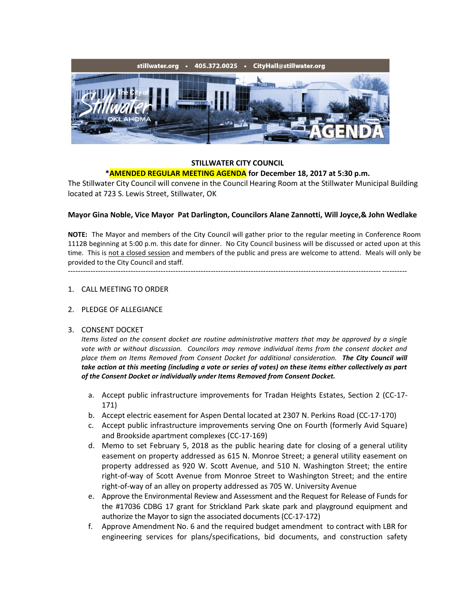

#### **STILLWATER CITY COUNCIL \*AMENDED REGULAR MEETING AGENDA for December 18, 2017 at 5:30 p.m.**

The Stillwater City Council will convene in the Council Hearing Room at the Stillwater Municipal Building located at 723 S. Lewis Street, Stillwater, OK

## **Mayor Gina Noble, Vice Mayor Pat Darlington, Councilors Alane Zannotti, Will Joyce,& John Wedlake**

**NOTE:** The Mayor and members of the City Council will gather prior to the regular meeting in Conference Room 1112B beginning at 5:00 p.m. this date for dinner. No City Council business will be discussed or acted upon at this time. This is not a closed session and members of the public and press are welcome to attend. Meals will only be provided to the City Council and staff.

---------------------------------------------------------------------------------------------------------------------------------------

#### 1. CALL MEETING TO ORDER

#### 2. PLEDGE OF ALLEGIANCE

#### 3. CONSENT DOCKET

*Items listed on the consent docket are routine administrative matters that may be approved by a single vote with or without discussion. Councilors may remove individual items from the consent docket and place them on Items Removed from Consent Docket for additional consideration. The City Council will take action at this meeting (including a vote or series of votes) on these items either collectively as part of the Consent Docket or individually under Items Removed from Consent Docket.*

- a. Accept public infrastructure improvements for Tradan Heights Estates, Section 2 (CC-17- 171)
- b. Accept electric easement for Aspen Dental located at 2307 N. Perkins Road (CC-17-170)
- c. Accept public infrastructure improvements serving One on Fourth (formerly Avid Square) and Brookside apartment complexes (CC-17-169)
- d. Memo to set February 5, 2018 as the public hearing date for closing of a general utility easement on property addressed as 615 N. Monroe Street; a general utility easement on property addressed as 920 W. Scott Avenue, and 510 N. Washington Street; the entire right-of-way of Scott Avenue from Monroe Street to Washington Street; and the entire right-of-way of an alley on property addressed as 705 W. University Avenue
- e. Approve the Environmental Review and Assessment and the Request for Release of Funds for the #17036 CDBG 17 grant for Strickland Park skate park and playground equipment and authorize the Mayor to sign the associated documents (CC-17-172)
- f. Approve Amendment No. 6 and the required budget amendment to contract with LBR for engineering services for plans/specifications, bid documents, and construction safety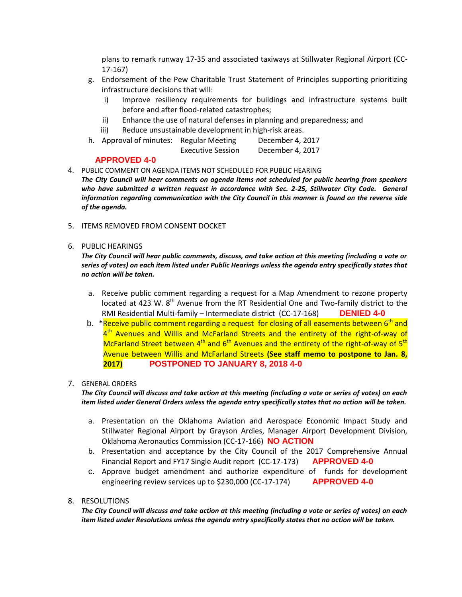plans to remark runway 17-35 and associated taxiways at Stillwater Regional Airport (CC-17-167)

- g. Endorsement of the Pew Charitable Trust Statement of Principles supporting prioritizing infrastructure decisions that will:
	- i) Improve resiliency requirements for buildings and infrastructure systems built before and after flood-related catastrophes;
	- ii) Enhance the use of natural defenses in planning and preparedness; and
	- iii) Reduce unsustainable development in high-risk areas.
- h. Approval of minutes: Regular Meeting December 4, 2017

Executive Session December 4, 2017

## **APPROVED 4-0**

- 4. PUBLIC COMMENT ON AGENDA ITEMS NOT SCHEDULED FOR PUBLIC HEARING
- *The City Council will hear comments on agenda items not scheduled for public hearing from speakers who have submitted a written request in accordance with Sec. 2-25, Stillwater City Code. General information regarding communication with the City Council in this manner is found on the reverse side of the agenda.*
- 5. ITEMS REMOVED FROM CONSENT DOCKET

### 6. PUBLIC HEARINGS

*The City Council will hear public comments, discuss, and take action at this meeting (including a vote or series of votes) on each item listed under Public Hearings unless the agenda entry specifically states that no action will be taken.*

- a. Receive public comment regarding a request for a Map Amendment to rezone property located at 423 W.  $8<sup>th</sup>$  Avenue from the RT Residential One and Two-family district to the RMI Residential Multi-family – Intermediate district (CC-17-168) **DENIED 4-0**
- b. \*Receive public comment regarding a request for closing of all easements between 6<sup>th</sup> and 4<sup>th</sup> Avenues and Willis and McFarland Streets and the entirety of the right-of-way of McFarland Street between  $4<sup>th</sup>$  and  $6<sup>th</sup>$  Avenues and the entirety of the right-of-way of  $5<sup>th</sup>$ Avenue between Willis and McFarland Streets **(See staff memo to postpone to Jan. 8, 2017) POSTPONED TO JANUARY 8, 2018 4-0**

#### 7. GENERAL ORDERS

*The City Council will discuss and take action at this meeting (including a vote or series of votes) on each item listed under General Orders unless the agenda entry specifically states that no action will be taken.*

- a. Presentation on the Oklahoma Aviation and Aerospace Economic Impact Study and Stillwater Regional Airport by Grayson Ardies, Manager Airport Development Division, Oklahoma Aeronautics Commission (CC-17-166) **NO ACTION**
- b. Presentation and acceptance by the City Council of the 2017 Comprehensive Annual Financial Report and FY17 Single Audit report (CC-17-173) **APPROVED 4-0**
- c. Approve budget amendment and authorize expenditure of funds for development engineering review services up to \$230,000 (CC-17-174) **APPROVED 4-0**
- 8. RESOLUTIONS

*The City Council will discuss and take action at this meeting (including a vote or series of votes) on each item listed under Resolutions unless the agenda entry specifically states that no action will be taken.*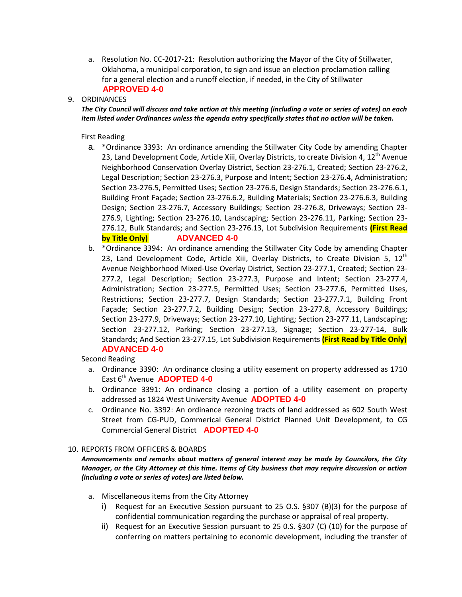a. Resolution No. CC-2017-21: Resolution authorizing the Mayor of the City of Stillwater, Oklahoma, a municipal corporation, to sign and issue an election proclamation calling for a general election and a runoff election, if needed, in the City of Stillwater **APPROVED 4-0**

## 9. ORDINANCES

*The City Council will discuss and take action at this meeting (including a vote or series of votes) on each item listed under Ordinances unless the agenda entry specifically states that no action will be taken.*

## First Reading

- a. \*Ordinance 3393: An ordinance amending the Stillwater City Code by amending Chapter 23, Land Development Code, Article Xiii, Overlay Districts, to create Division 4,  $12<sup>th</sup>$  Avenue Neighborhood Conservation Overlay District, Section 23-276.1, Created; Section 23-276.2, Legal Description; Section 23-276.3, Purpose and Intent; Section 23-276.4, Administration; Section 23-276.5, Permitted Uses; Section 23-276.6, Design Standards; Section 23-276.6.1, Building Front Façade; Section 23-276.6.2, Building Materials; Section 23-276.6.3, Building Design; Section 23-276.7, Accessory Buildings; Section 23-276.8, Driveways; Section 23- 276.9, Lighting; Section 23-276.10, Landscaping; Section 23-276.11, Parking; Section 23- 276.12, Bulk Standards; and Section 23-276.13, Lot Subdivision Requirements **(First Read by Title Only) ADVANCED 4-0**
- b. \*Ordinance 3394: An ordinance amending the Stillwater City Code by amending Chapter 23, Land Development Code, Article Xiii, Overlay Districts, to Create Division 5,  $12<sup>th</sup>$ Avenue Neighborhood Mixed-Use Overlay District, Section 23-277.1, Created; Section 23- 277.2, Legal Description; Section 23-277.3, Purpose and Intent; Section 23-277.4, Administration; Section 23-277.5, Permitted Uses; Section 23-277.6, Permitted Uses, Restrictions; Section 23-277.7, Design Standards; Section 23-277.7.1, Building Front Façade; Section 23-277.7.2, Building Design; Section 23-277.8, Accessory Buildings; Section 23-277.9, Driveways; Section 23-277.10, Lighting; Section 23-277.11, Landscaping; Section 23-277.12, Parking; Section 23-277.13, Signage; Section 23-277-14, Bulk Standards; And Section 23-277.15, Lot Subdivision Requirements **(First Read by Title Only) ADVANCED 4-0**

#### Second Reading

- a. Ordinance 3390: An ordinance closing a utility easement on property addressed as 1710 East 6th Avenue **ADOPTED 4-0**
- b. Ordinance 3391: An ordinance closing a portion of a utility easement on property addressed as 1824 West University Avenue **ADOPTED 4-0**
- c. Ordinance No. 3392: An ordinance rezoning tracts of land addressed as 602 South West Street from CG-PUD, Commerical General District Planned Unit Development, to CG Commercial General District **ADOPTED 4-0**

## 10. REPORTS FROM OFFICERS & BOARDS

*Announcements and remarks about matters of general interest may be made by Councilors, the City Manager, or the City Attorney at this time. Items of City business that may require discussion or action (including a vote or series of votes) are listed below.*

- a. Miscellaneous items from the City Attorney
	- i) Request for an Executive Session pursuant to 25 O.S. §307 (B)(3) for the purpose of confidential communication regarding the purchase or appraisal of real property.
	- ii) Request for an Executive Session pursuant to 25 0.S. §307 (C) (10) for the purpose of conferring on matters pertaining to economic development, including the transfer of